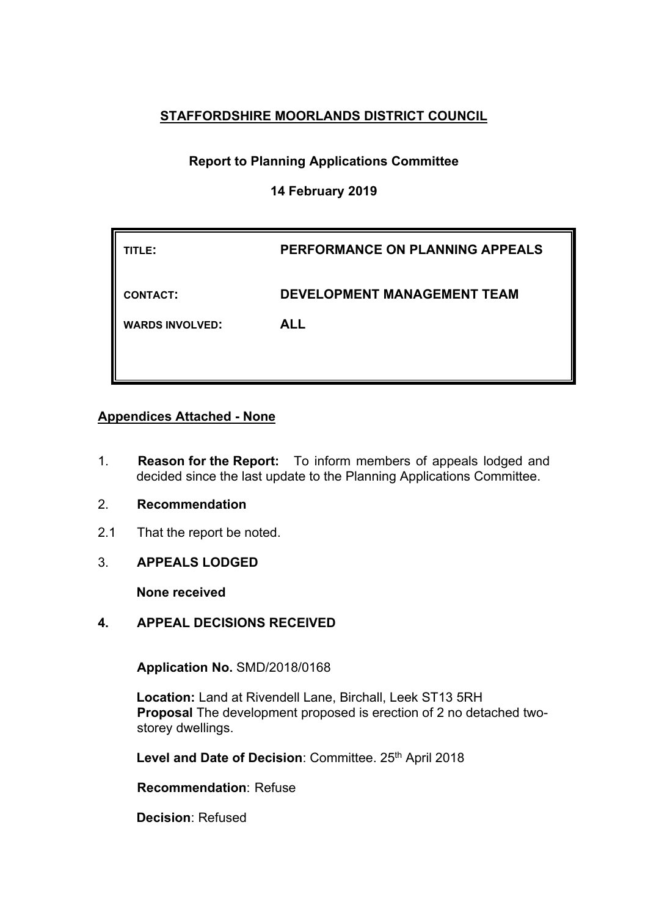# **STAFFORDSHIRE MOORLANDS DISTRICT COUNCIL**

# **Report to Planning Applications Committee**

# **14 February 2019**

| TITLE:                 | PERFORMANCE ON PLANNING APPEALS    |
|------------------------|------------------------------------|
| <b>CONTACT:</b>        | <b>DEVELOPMENT MANAGEMENT TEAM</b> |
| <b>WARDS INVOLVED:</b> | <b>ALL</b>                         |
|                        |                                    |

# **Appendices Attached - None**

- 1. **Reason for the Report:** To inform members of appeals lodged and decided since the last update to the Planning Applications Committee.
- 2. **Recommendation**
- 2.1 That the report be noted.
- 3. **APPEALS LODGED**

**None received**

### **4. APPEAL DECISIONS RECEIVED**

**Application No.** SMD/2018/0168

**Location:** Land at Rivendell Lane, Birchall, Leek ST13 5RH **Proposal** The development proposed is erection of 2 no detached twostorey dwellings.

Level and Date of Decision: Committee. 25<sup>th</sup> April 2018

**Recommendation**: Refuse

**Decision**: Refused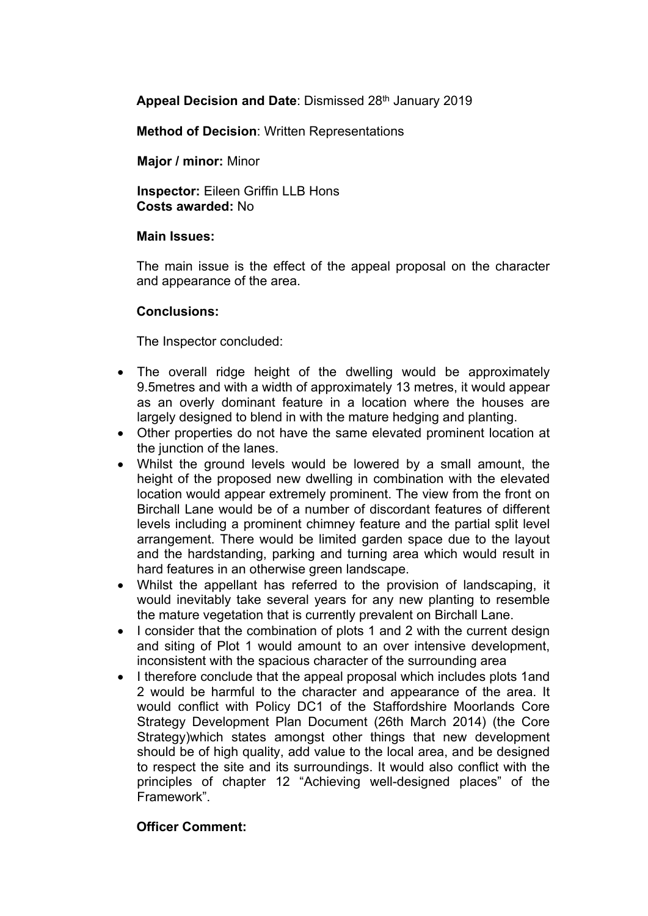**Appeal Decision and Date**: Dismissed 28th January 2019

**Method of Decision**: Written Representations

**Major / minor:** Minor

**Inspector:** Eileen Griffin LLB Hons **Costs awarded:** No

#### **Main Issues:**

The main issue is the effect of the appeal proposal on the character and appearance of the area.

#### **Conclusions:**

The Inspector concluded:

- The overall ridge height of the dwelling would be approximately 9.5metres and with a width of approximately 13 metres, it would appear as an overly dominant feature in a location where the houses are largely designed to blend in with the mature hedging and planting.
- Other properties do not have the same elevated prominent location at the junction of the lanes.
- Whilst the ground levels would be lowered by a small amount, the height of the proposed new dwelling in combination with the elevated location would appear extremely prominent. The view from the front on Birchall Lane would be of a number of discordant features of different levels including a prominent chimney feature and the partial split level arrangement. There would be limited garden space due to the layout and the hardstanding, parking and turning area which would result in hard features in an otherwise green landscape.
- Whilst the appellant has referred to the provision of landscaping, it would inevitably take several years for any new planting to resemble the mature vegetation that is currently prevalent on Birchall Lane.
- I consider that the combination of plots 1 and 2 with the current design and siting of Plot 1 would amount to an over intensive development, inconsistent with the spacious character of the surrounding area
- I therefore conclude that the appeal proposal which includes plots 1and 2 would be harmful to the character and appearance of the area. It would conflict with Policy DC1 of the Staffordshire Moorlands Core Strategy Development Plan Document (26th March 2014) (the Core Strategy)which states amongst other things that new development should be of high quality, add value to the local area, and be designed to respect the site and its surroundings. It would also conflict with the principles of chapter 12 "Achieving well-designed places" of the Framework".

### **Officer Comment:**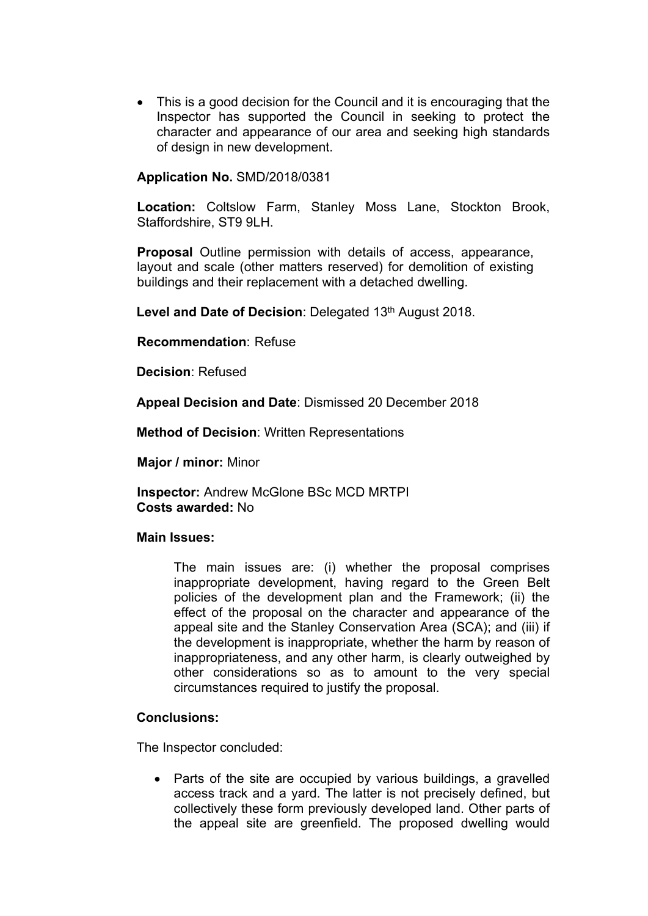• This is a good decision for the Council and it is encouraging that the Inspector has supported the Council in seeking to protect the character and appearance of our area and seeking high standards of design in new development.

#### **Application No.** SMD/2018/0381

**Location:** Coltslow Farm, Stanley Moss Lane, Stockton Brook, Staffordshire, ST9 9LH.

**Proposal** Outline permission with details of access, appearance, layout and scale (other matters reserved) for demolition of existing buildings and their replacement with a detached dwelling.

**Level and Date of Decision**: Delegated 13th August 2018.

**Recommendation**: Refuse

**Decision**: Refused

**Appeal Decision and Date**: Dismissed 20 December 2018

**Method of Decision**: Written Representations

**Major / minor:** Minor

**Inspector:** Andrew McGlone BSc MCD MRTPI **Costs awarded:** No

#### **Main Issues:**

The main issues are: (i) whether the proposal comprises inappropriate development, having regard to the Green Belt policies of the development plan and the Framework; (ii) the effect of the proposal on the character and appearance of the appeal site and the Stanley Conservation Area (SCA); and (iii) if the development is inappropriate, whether the harm by reason of inappropriateness, and any other harm, is clearly outweighed by other considerations so as to amount to the very special circumstances required to justify the proposal.

#### **Conclusions:**

The Inspector concluded:

• Parts of the site are occupied by various buildings, a gravelled access track and a yard. The latter is not precisely defined, but collectively these form previously developed land. Other parts of the appeal site are greenfield. The proposed dwelling would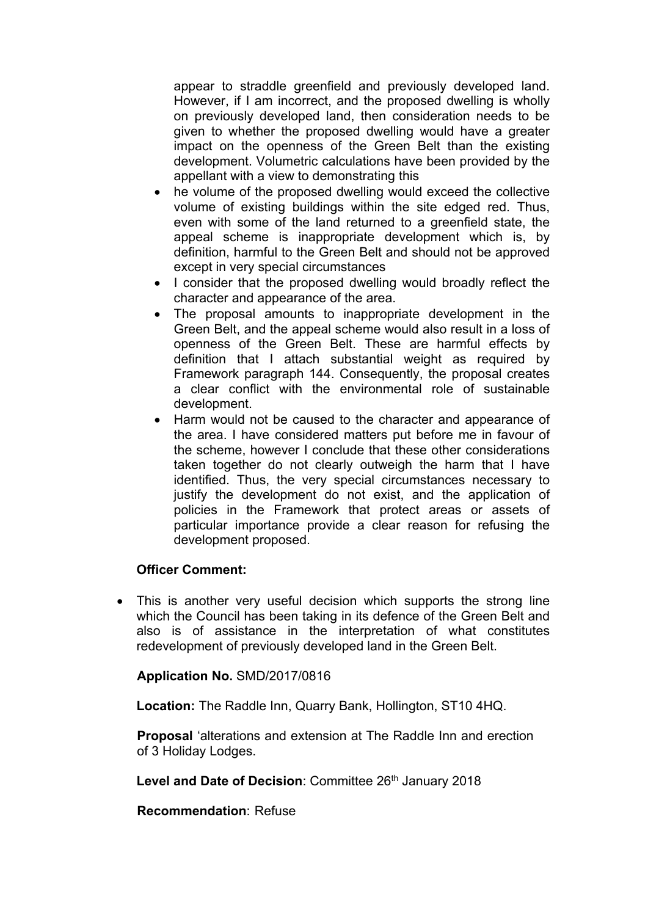appear to straddle greenfield and previously developed land. However, if I am incorrect, and the proposed dwelling is wholly on previously developed land, then consideration needs to be given to whether the proposed dwelling would have a greater impact on the openness of the Green Belt than the existing development. Volumetric calculations have been provided by the appellant with a view to demonstrating this

- he volume of the proposed dwelling would exceed the collective volume of existing buildings within the site edged red. Thus, even with some of the land returned to a greenfield state, the appeal scheme is inappropriate development which is, by definition, harmful to the Green Belt and should not be approved except in very special circumstances
- I consider that the proposed dwelling would broadly reflect the character and appearance of the area.
- The proposal amounts to inappropriate development in the Green Belt, and the appeal scheme would also result in a loss of openness of the Green Belt. These are harmful effects by definition that I attach substantial weight as required by Framework paragraph 144. Consequently, the proposal creates a clear conflict with the environmental role of sustainable development.
- Harm would not be caused to the character and appearance of the area. I have considered matters put before me in favour of the scheme, however I conclude that these other considerations taken together do not clearly outweigh the harm that I have identified. Thus, the very special circumstances necessary to justify the development do not exist, and the application of policies in the Framework that protect areas or assets of particular importance provide a clear reason for refusing the development proposed.

### **Officer Comment:**

• This is another very useful decision which supports the strong line which the Council has been taking in its defence of the Green Belt and also is of assistance in the interpretation of what constitutes redevelopment of previously developed land in the Green Belt.

**Application No.** SMD/2017/0816

**Location:** The Raddle Inn, Quarry Bank, Hollington, ST10 4HQ.

**Proposal** 'alterations and extension at The Raddle Inn and erection of 3 Holiday Lodges.

**Level and Date of Decision: Committee 26th January 2018** 

**Recommendation**: Refuse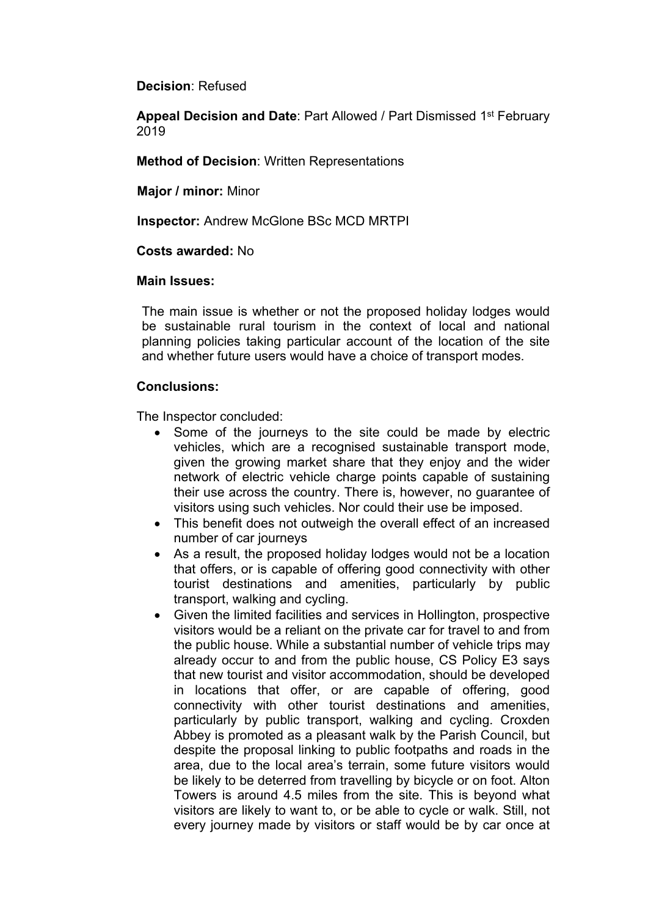**Decision**: Refused

**Appeal Decision and Date**: Part Allowed / Part Dismissed 1 st February 2019

**Method of Decision**: Written Representations

**Major / minor:** Minor

**Inspector:** Andrew McGlone BSc MCD MRTPI

#### **Costs awarded:** No

#### **Main Issues:**

The main issue is whether or not the proposed holiday lodges would be sustainable rural tourism in the context of local and national planning policies taking particular account of the location of the site and whether future users would have a choice of transport modes.

#### **Conclusions:**

The Inspector concluded:

- Some of the journeys to the site could be made by electric vehicles, which are a recognised sustainable transport mode, given the growing market share that they enjoy and the wider network of electric vehicle charge points capable of sustaining their use across the country. There is, however, no guarantee of visitors using such vehicles. Nor could their use be imposed.
- This benefit does not outweigh the overall effect of an increased number of car journeys
- As a result, the proposed holiday lodges would not be a location that offers, or is capable of offering good connectivity with other tourist destinations and amenities, particularly by public transport, walking and cycling.
- Given the limited facilities and services in Hollington, prospective visitors would be a reliant on the private car for travel to and from the public house. While a substantial number of vehicle trips may already occur to and from the public house, CS Policy E3 says that new tourist and visitor accommodation, should be developed in locations that offer, or are capable of offering, good connectivity with other tourist destinations and amenities, particularly by public transport, walking and cycling. Croxden Abbey is promoted as a pleasant walk by the Parish Council, but despite the proposal linking to public footpaths and roads in the area, due to the local area's terrain, some future visitors would be likely to be deterred from travelling by bicycle or on foot. Alton Towers is around 4.5 miles from the site. This is beyond what visitors are likely to want to, or be able to cycle or walk. Still, not every journey made by visitors or staff would be by car once at